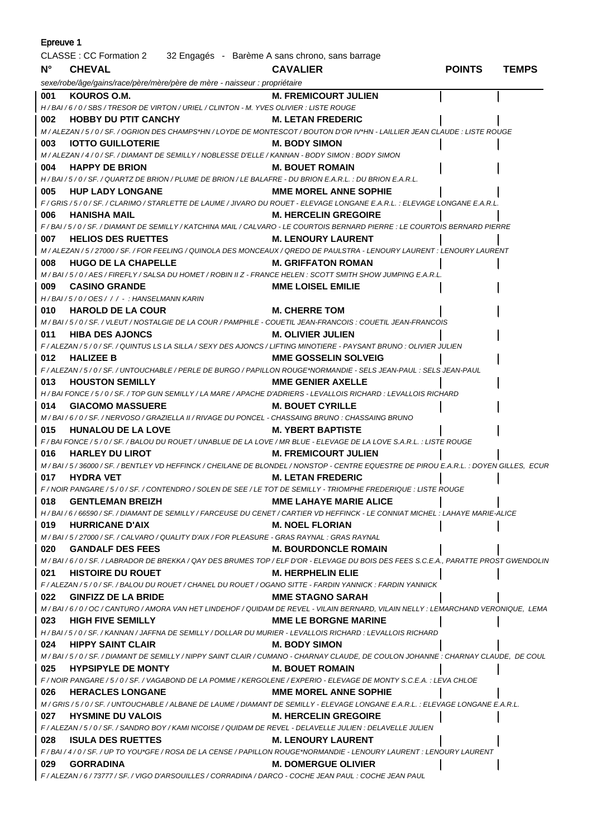| <b>Epreuve 1</b> |                                                                                                                                                                     |                               |               |              |
|------------------|---------------------------------------------------------------------------------------------------------------------------------------------------------------------|-------------------------------|---------------|--------------|
|                  | CLASSE : CC Formation 2 32 Engagés - Barème A sans chrono, sans barrage                                                                                             |                               |               |              |
| $N^{\circ}$      | <b>CHEVAL</b>                                                                                                                                                       | <b>CAVALIER</b>               | <b>POINTS</b> | <b>TEMPS</b> |
|                  | sexe/robe/âge/gains/race/père/mère/père de mère - naisseur : propriétaire                                                                                           |                               |               |              |
| 001              | KOUROS O.M.                                                                                                                                                         | <b>M. FREMICOURT JULIEN</b>   |               |              |
|                  | H / BAI / 6 / 0 / SBS / TRESOR DE VIRTON / URIEL / CLINTON - M. YVES OLIVIER : LISTE ROUGE                                                                          |                               |               |              |
| 002              | <b>HOBBY DU PTIT CANCHY</b>                                                                                                                                         | <b>M. LETAN FREDERIC</b>      |               |              |
|                  | M / ALEZAN / 5 / 0 / SF. / OGRION DES CHAMPS*HN / LOYDE DE MONTESCOT / BOUTON D'OR IV*HN - LAILLIER JEAN CLAUDE : LISTE ROUGE                                       |                               |               |              |
| 003              | <b>IOTTO GUILLOTERIE</b><br><b>M. BODY SIMON</b>                                                                                                                    |                               |               |              |
|                  | M / ALEZAN / 4 / 0 / SF. / DIAMANT DE SEMILLY / NOBLESSE D'ELLE / KANNAN - BODY SIMON : BODY SIMON                                                                  |                               |               |              |
| 004              | <b>HAPPY DE BRION</b>                                                                                                                                               | <b>M. BOUET ROMAIN</b>        |               |              |
|                  | H / BAI / 5 / 0 / SF. / QUARTZ DE BRION / PLUME DE BRION / LE BALAFRE - DU BRION E.A.R.L. : DU BRION E.A.R.L.                                                       |                               |               |              |
| 005              | <b>HUP LADY LONGANE</b>                                                                                                                                             | <b>MME MOREL ANNE SOPHIE</b>  |               |              |
|                  | F / GRIS / 5 / 0 / SF. / CLARIMO / STARLETTE DE LAUME / JIVARO DU ROUET - ELEVAGE LONGANE E.A.R.L. : ELEVAGE LONGANE E.A.R.L.                                       |                               |               |              |
| 006              | <b>HANISHA MAIL</b>                                                                                                                                                 | <b>M. HERCELIN GREGOIRE</b>   |               |              |
|                  | F/BAI/5/0/SF./DIAMANT DE SEMILLY/KATCHINA MAIL/CALVARO - LE COURTOIS BERNARD PIERRE : LE COURTOIS BERNARD PIERRE                                                    |                               |               |              |
| 007              | <b>HELIOS DES RUETTES</b>                                                                                                                                           | <b>M. LENOURY LAURENT</b>     |               |              |
|                  | M / ALEZAN / 5 / 27000 / SF. / FOR FEELING / QUINOLA DES MONCEAUX / QREDO DE PAULSTRA - LENOURY LAURENT : LENOURY LAURENT                                           |                               |               |              |
| 008              | <b>HUGO DE LA CHAPELLE</b>                                                                                                                                          | <b>M. GRIFFATON ROMAN</b>     |               |              |
|                  | M/BAI/5/0/AES/FIREFLY/SALSA DU HOMET/ROBIN II Z - FRANCE HELEN : SCOTT SMITH SHOW JUMPING E.A.R.L.                                                                  |                               |               |              |
| 009              | <b>CASINO GRANDE</b>                                                                                                                                                | <b>MME LOISEL EMILIE</b>      |               |              |
|                  | H / BAI / 5 / 0 / OES / / / - : HANSELMANN KARIN                                                                                                                    | <b>M. CHERRE TOM</b>          |               |              |
| 010              | <b>HAROLD DE LA COUR</b><br>M/BAI/5/0/SF./VLEUT/NOSTALGIE DE LA COUR/PAMPHILE - COUETIL JEAN-FRANCOIS : COUETIL JEAN-FRANCOIS                                       |                               |               |              |
| 011              | <b>HIBA DES AJONCS</b>                                                                                                                                              | M. OLIVIER JULIEN             |               |              |
|                  | F / ALEZAN / 5 / 0 / SF. / QUINTUS LS LA SILLA / SEXY DES AJONCS / LIFTING MINOTIERE - PAYSANT BRUNO : OLIVIER JULIEN                                               |                               |               |              |
| 012              | <b>HALIZEE B</b>                                                                                                                                                    | MME GOSSELIN SOLVEIG          |               |              |
|                  | F / ALEZAN / 5 / 0 / SF. / UNTOUCHABLE / PERLE DE BURGO / PAPILLON ROUGE*NORMANDIE - SELS JEAN-PAUL : SELS JEAN-PAUL                                                |                               |               |              |
| 013              | <b>HOUSTON SEMILLY</b>                                                                                                                                              | <b>MME GENIER AXELLE</b>      |               |              |
|                  | H / BAI FONCE / 5 / 0 / SF. / TOP GUN SEMILLY / LA MARE / APACHE D'ADRIERS - LEVALLOIS RICHARD : LEVALLOIS RICHARD                                                  |                               |               |              |
| 014              | M. BOUET CYRILLE<br><b>GIACOMO MASSUERE</b>                                                                                                                         |                               |               |              |
|                  | M / BAI / 6 / 0 / SF. / NERVOSO / GRAZIELLA II / RIVAGE DU PONCEL - CHASSAING BRUNO : CHASSAING BRUNO                                                               |                               |               |              |
| 015              | <b>HUNALOU DE LA LOVE</b>                                                                                                                                           | <b>M. YBERT BAPTISTE</b>      |               |              |
|                  | F / BAI FONCE / 5 / 0 / SF. / BALOU DU ROUET / UNABLUE DE LA LOVE / MR BLUE - ELEVAGE DE LA LOVE S.A.R.L. : LISTE ROUGE                                             |                               |               |              |
| 016              | <b>HARLEY DU LIROT</b>                                                                                                                                              | <b>M. FREMICOURT JULIEN</b>   |               |              |
|                  | M / BAI / 5 / 36000 / SF. / BENTLEY VD HEFFINCK / CHEILANE DE BLONDEL / NONSTOP - CENTRE EQUESTRE DE PIROU E.A.R.L.: DOYEN GILLES, ECUR                             |                               |               |              |
| 017              | <b>HYDRA VET</b>                                                                                                                                                    | <b>M. LETAN FREDERIC</b>      |               |              |
|                  | F / NOIR PANGARE / 5 / 0 / SF. / CONTENDRO / SOLEN DE SEE / LE TOT DE SEMILLY - TRIOMPHE FREDERIQUE : LISTE ROUGE                                                   |                               |               |              |
| 018              | <b>GENTLEMAN BREIZH</b>                                                                                                                                             | <b>MME LAHAYE MARIE ALICE</b> |               |              |
|                  | H / BAI / 6 / 66590 / SF. / DIAMANT DE SEMILLY / FARCEUSE DU CENET / CARTIER VD HEFFINCK - LE CONNIAT MICHEL : LAHAYE MARIE-ALICE                                   |                               |               |              |
| 019              | <b>HURRICANE D'AIX</b>                                                                                                                                              | <b>M. NOEL FLORIAN</b>        |               |              |
|                  | M/BAI/5/27000/SF./CALVARO/QUALITY D'AIX/FOR PLEASURE - GRAS RAYNAL : GRAS RAYNAL                                                                                    |                               |               |              |
| 020              | <b>GANDALF DES FEES</b>                                                                                                                                             | <b>M. BOURDONCLE ROMAIN</b>   |               |              |
| 021              | M / BAI / 6 / 0 / SF. / LABRADOR DE BREKKA / QAY DES BRUMES TOP / ELF D'OR - ELEVAGE DU BOIS DES FEES S.C.E.A., PARATTE PROST GWENDOLIN<br><b>HISTOIRE DU ROUET</b> | <b>M. HERPHELIN ELIE</b>      |               |              |
|                  | F / ALEZAN / 5 / 0 / SF. / BALOU DU ROUET / CHANEL DU ROUET / OGANO SITTE - FARDIN YANNICK : FARDIN YANNICK                                                         |                               |               |              |
|                  | 022 GINFIZZ DE LA BRIDE                                                                                                                                             | <b>MME STAGNO SARAH</b>       |               |              |
|                  | M / BAI / 6 / 0 / OC / CANTURO / AMORA VAN HET LINDEHOF / QUIDAM DE REVEL - VILAIN BERNARD, VILAIN NELLY : LEMARCHAND VERONIQUE, LEMA                               |                               |               |              |
|                  | 023 HIGH FIVE SEMILLY                                                                                                                                               | <b>MME LE BORGNE MARINE</b>   |               |              |
|                  | H / BAI / 5 / 0 / SF. / KANNAN / JAFFNA DE SEMILLY / DOLLAR DU MURIER - LEVALLOIS RICHARD : LEVALLOIS RICHARD                                                       |                               |               |              |
|                  | 024 HIPPY SAINT CLAIR                                                                                                                                               | M. BODY SIMON                 |               |              |
|                  | M / BAI / 5 / 0 / SF. / DIAMANT DE SEMILLY / NIPPY SAINT CLAIR / CUMANO - CHARNAY CLAUDE, DE COULON JOHANNE : CHARNAY CLAUDE, DE COUL                               |                               |               |              |
|                  | 025 HYPSIPYLE DE MONTY                                                                                                                                              | <b>M. BOUET ROMAIN</b>        |               |              |
|                  | F / NOIR PANGARE / 5 / 0 / SF. / VAGABOND DE LA POMME / KERGOLENE / EXPERIO - ELEVAGE DE MONTY S.C.E.A. : LEVA CHLOE                                                |                               |               |              |
|                  | 026 HERACLES LONGANE                                                                                                                                                | <b>MME MOREL ANNE SOPHIE</b>  |               |              |
|                  | M / GRIS / 5 / 0 / SF. / UNTOUCHABLE / ALBANE DE LAUME / DIAMANT DE SEMILLY - ELEVAGE LONGANE E.A.R.L. : ELEVAGE LONGANE E.A.R.L.                                   |                               |               |              |
|                  | 027 HYSMINE DU VALOIS                                                                                                                                               | <b>M. HERCELIN GREGOIRE</b>   |               |              |
|                  | F / ALEZAN / 5 / 0 / SF. / SANDRO BOY / KAMI NICOISE / QUIDAM DE REVEL - DELAVELLE JULIEN : DELAVELLE JULIEN                                                        |                               |               |              |
|                  | 028 ISULA DES RUETTES                                                                                                                                               | <b>M. LENOURY LAURENT</b>     |               |              |
|                  | F / BAI / 4 / 0 / SF. / UP TO YOU*GFE / ROSA DE LA CENSE / PAPILLON ROUGE*NORMANDIE - LENOURY LAURENT : LENOURY LAURENT                                             |                               |               |              |
| 029              | <b>GORRADINA</b>                                                                                                                                                    | <b>M. DOMERGUE OLIVIER</b>    |               |              |
|                  | F / ALEZAN / 6 / 73777 / SF. / VIGO D'ARSOUILLES / CORRADINA / DARCO - COCHE JEAN PAUL : COCHE JEAN PAUL                                                            |                               |               |              |